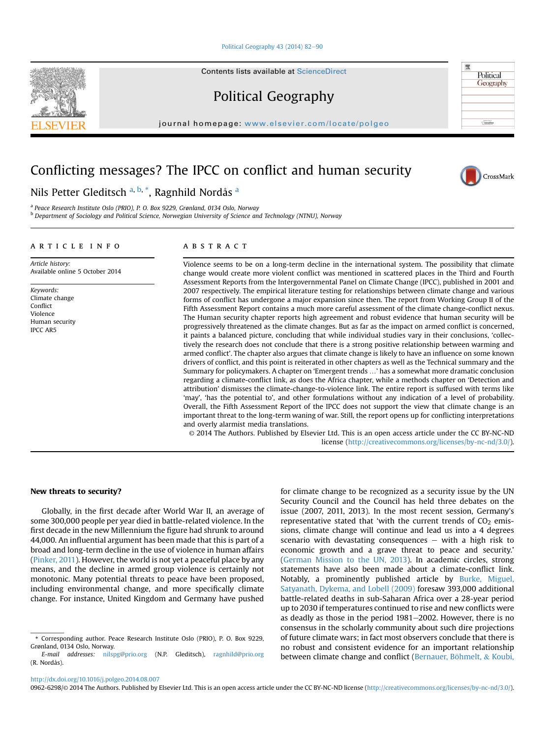#### [Political Geography 43 \(2014\) 82](http://dx.doi.org/10.1016/j.polgeo.2014.08.007)-[90](http://dx.doi.org/10.1016/j.polgeo.2014.08.007)

Contents lists available at ScienceDirect

Political Geography

journal homepage: [www.elsevier.com/locate/polgeo](http://www.elsevier.com/locate/polgeo)

# Conflicting messages? The IPCC on conflict and human security

Nils Petter Gleditsch <sup>a, b, \*</sup>, Ragnhild Nordås <sup>a</sup>

<sup>a</sup> Peace Research Institute Oslo (PRIO), P. O. Box 9229, Grønland, 0134 Oslo, Norway <sup>b</sup> Department of Sociology and Political Science, Norwegian University of Science and Technology (NTNU), Norway

## article info

Available online 5 October 2014

Article history:

Keywords: Climate change Conflict Violence Human security IPCC AR5

# ABSTRACT

Violence seems to be on a long-term decline in the international system. The possibility that climate change would create more violent conflict was mentioned in scattered places in the Third and Fourth Assessment Reports from the Intergovernmental Panel on Climate Change (IPCC), published in 2001 and 2007 respectively. The empirical literature testing for relationships between climate change and various forms of conflict has undergone a major expansion since then. The report from Working Group II of the Fifth Assessment Report contains a much more careful assessment of the climate change-conflict nexus. The Human security chapter reports high agreement and robust evidence that human security will be progressively threatened as the climate changes. But as far as the impact on armed conflict is concerned, it paints a balanced picture, concluding that while individual studies vary in their conclusions, 'collectively the research does not conclude that there is a strong positive relationship between warming and armed conflict'. The chapter also argues that climate change is likely to have an influence on some known drivers of conflict, and this point is reiterated in other chapters as well as the Technical summary and the Summary for policymakers. A chapter on 'Emergent trends …' has a somewhat more dramatic conclusion regarding a climate-conflict link, as does the Africa chapter, while a methods chapter on 'Detection and attribution' dismisses the climate-change-to-violence link. The entire report is suffused with terms like 'may', 'has the potential to', and other formulations without any indication of a level of probability. Overall, the Fifth Assessment Report of the IPCC does not support the view that climate change is an important threat to the long-term waning of war. Still, the report opens up for conflicting interpretations and overly alarmist media translations.

© 2014 The Authors. Published by Elsevier Ltd. This is an open access article under the CC BY-NC-ND license [\(http://creativecommons.org/licenses/by-nc-nd/3.0/](http://creativecommons.org/licenses/by-nc-nd/3.0/)).

New threats to security?

Globally, in the first decade after World War II, an average of some 300,000 people per year died in battle-related violence. In the first decade in the new Millennium the figure had shrunk to around 44,000. An influential argument has been made that this is part of a broad and long-term decline in the use of violence in human affairs ([Pinker, 2011](#page-8-0)). However, the world is not yet a peaceful place by any means, and the decline in armed group violence is certainly not monotonic. Many potential threats to peace have been proposed, including environmental change, and more specifically climate change. For instance, United Kingdom and Germany have pushed for climate change to be recognized as a security issue by the UN Security Council and the Council has held three debates on the issue (2007, 2011, 2013). In the most recent session, Germany's representative stated that 'with the current trends of  $CO<sub>2</sub>$  emissions, climate change will continue and lead us into a 4 degrees scenario with devastating consequences  $-$  with a high risk to economic growth and a grave threat to peace and security.' ([German Mission to the UN, 2013\)](#page-8-0). In academic circles, strong statements have also been made about a climate-conflict link. Notably, a prominently published article by [Burke, Miguel,](#page-7-0) [Satyanath, Dykema, and Lobell \(2009\)](#page-7-0) foresaw 393,000 additional battle-related deaths in sub-Saharan Africa over a 28-year period up to 2030 if temperatures continued to rise and new conflicts were as deadly as those in the period 1981-2002. However, there is no consensus in the scholarly community about such dire projections of future climate wars; in fact most observers conclude that there is no robust and consistent evidence for an important relationship between climate change and conflict ([Bernauer, B](#page-7-0)ö[hmelt,](#page-7-0) & [Koubi,](#page-7-0)

0962-6298/© 2014 The Authors. Published by Elsevier Ltd. This is an open access article under the CC BY-NC-ND license ([http://creativecommons.org/licenses/by-nc-nd/3.0/\)](http://creativecommons.org/licenses/by-nc-nd/3.0/).







<sup>\*</sup> Corresponding author. Peace Research Institute Oslo (PRIO), P. O. Box 9229, Grønland, 0134 Oslo, Norway.

E-mail addresses: [nilspg@prio.org](mailto:nilspg@prio.org) (N.P. Gleditsch), [ragnhild@prio.org](mailto:ragnhild@prio.org) (R. Nordås).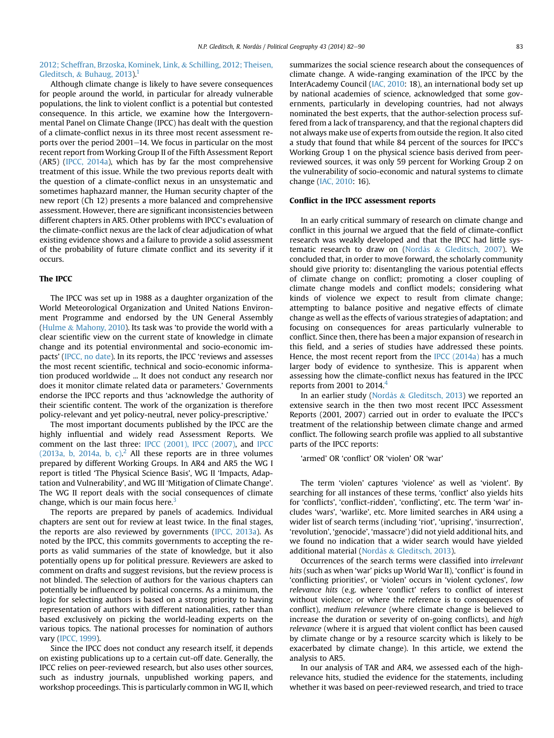[2012; Scheffran, Brzoska, Kominek, Link,](#page-7-0) & [Schilling, 2012; Theisen,](#page-7-0) [Gleditsch,](#page-7-0) & Buhaug,  $2013$ ).<sup>1</sup>

Although climate change is likely to have severe consequences for people around the world, in particular for already vulnerable populations, the link to violent conflict is a potential but contested consequence. In this article, we examine how the Intergovernmental Panel on Climate Change (IPCC) has dealt with the question of a climate-conflict nexus in its three most recent assessment reports over the period  $2001-14$ . We focus in particular on the most recent report from Working Group II of the Fifth Assessment Report (AR5) ([IPCC, 2014a](#page-8-0)), which has by far the most comprehensive treatment of this issue. While the two previous reports dealt with the question of a climate-conflict nexus in an unsystematic and sometimes haphazard manner, the Human security chapter of the new report (Ch 12) presents a more balanced and comprehensive assessment. However, there are significant inconsistencies between different chapters in AR5. Other problems with IPCC's evaluation of the climate-conflict nexus are the lack of clear adjudication of what existing evidence shows and a failure to provide a solid assessment of the probability of future climate conflict and its severity if it occurs.

## The IPCC

The IPCC was set up in 1988 as a daughter organization of the World Meteorological Organization and United Nations Environment Programme and endorsed by the UN General Assembly ([Hulme](#page-8-0) & [Mahony, 2010\)](#page-8-0). Its task was 'to provide the world with a clear scientific view on the current state of knowledge in climate change and its potential environmental and socio-economic impacts' [\(IPCC, no date\)](#page-8-0). In its reports, the IPCC 'reviews and assesses the most recent scientific, technical and socio-economic information produced worldwide ... It does not conduct any research nor does it monitor climate related data or parameters.' Governments endorse the IPCC reports and thus 'acknowledge the authority of their scientific content. The work of the organization is therefore policy-relevant and yet policy-neutral, never policy-prescriptive.'

The most important documents published by the IPCC are the highly influential and widely read Assessment Reports. We comment on the last three: [IPCC \(2001\), IPCC \(2007\),](#page-8-0) and [IPCC](#page-8-0) [\(2013a, b, 2014a, b, c\).](#page-8-0)<sup>[2](#page-7-0)</sup> All these reports are in three volumes prepared by different Working Groups. In AR4 and AR5 the WG I report is titled 'The Physical Science Basis', WG II 'Impacts, Adaptation and Vulnerability', and WG III 'Mitigation of Climate Change'. The WG II report deals with the social consequences of climate change, which is our main focus here. $3$ 

The reports are prepared by panels of academics. Individual chapters are sent out for review at least twice. In the final stages, the reports are also reviewed by governments ([IPCC, 2013a\)](#page-8-0). As noted by the IPCC, this commits governments to accepting the reports as valid summaries of the state of knowledge, but it also potentially opens up for political pressure. Reviewers are asked to comment on drafts and suggest revisions, but the review process is not blinded. The selection of authors for the various chapters can potentially be influenced by political concerns. As a minimum, the logic for selecting authors is based on a strong priority to having representation of authors with different nationalities, rather than based exclusively on picking the world-leading experts on the various topics. The national processes for nomination of authors vary [\(IPCC, 1999\)](#page-8-0).

Since the IPCC does not conduct any research itself, it depends on existing publications up to a certain cut-off date. Generally, the IPCC relies on peer-reviewed research, but also uses other sources, such as industry journals, unpublished working papers, and workshop proceedings. This is particularly common in WG II, which summarizes the social science research about the consequences of climate change. A wide-ranging examination of the IPCC by the InterAcademy Council ([IAC, 2010:](#page-8-0) 18), an international body set up by national academies of science, acknowledged that some governments, particularly in developing countries, had not always nominated the best experts, that the author-selection process suffered from a lack of transparency, and that the regional chapters did not always make use of experts from outside the region. It also cited a study that found that while 84 percent of the sources for IPCC's Working Group 1 on the physical science basis derived from peerreviewed sources, it was only 59 percent for Working Group 2 on the vulnerability of socio-economic and natural systems to climate change ([IAC, 2010](#page-8-0): 16).

#### Conflict in the IPCC assessment reports

In an early critical summary of research on climate change and conflict in this journal we argued that the field of climate-conflict research was weakly developed and that the IPCC had little systematic research to draw on ([Nordås](#page-8-0) & [Gleditsch, 2007](#page-8-0)). We concluded that, in order to move forward, the scholarly community should give priority to: disentangling the various potential effects of climate change on conflict; promoting a closer coupling of climate change models and conflict models; considering what kinds of violence we expect to result from climate change; attempting to balance positive and negative effects of climate change as well as the effects of various strategies of adaptation; and focusing on consequences for areas particularly vulnerable to conflict. Since then, there has been a major expansion of research in this field, and a series of studies have addressed these points. Hence, the most recent report from the [IPCC \(2014a\)](#page-8-0) has a much larger body of evidence to synthesize. This is apparent when assessing how the climate-conflict nexus has featured in the IPCC reports from 2001 to 2014. $4^4$ 

In an earlier study [\(Nordås](#page-8-0) & [Gleditsch, 2013\)](#page-8-0) we reported an extensive search in the then two most recent IPCC Assessment Reports (2001, 2007) carried out in order to evaluate the IPCC's treatment of the relationship between climate change and armed conflict. The following search profile was applied to all substantive parts of the IPCC reports:

'armed' OR 'conflict' OR 'violen' OR 'war'

The term 'violen' captures 'violence' as well as 'violent'. By searching for all instances of these terms, 'conflict' also yields hits for 'conflicts', 'conflict-ridden', 'conflicting', etc. The term 'war' includes 'wars', 'warlike', etc. More limited searches in AR4 using a wider list of search terms (including 'riot', 'uprising', 'insurrection', 'revolution', 'genocide', 'massacre') did not yield additional hits, and we found no indication that a wider search would have yielded additional material [\(Nordås](#page-8-0) & [Gleditsch, 2013](#page-8-0)).

Occurrences of the search terms were classified into irrelevant hits (such as when 'war' picks up World War II), 'conflict' is found in 'conflicting priorities', or 'violen' occurs in 'violent cyclones', low relevance hits (e.g. where 'conflict' refers to conflict of interest without violence; or where the reference is to consequences of conflict), medium relevance (where climate change is believed to increase the duration or severity of on-going conflicts), and high relevance (where it is argued that violent conflict has been caused by climate change or by a resource scarcity which is likely to be exacerbated by climate change). In this article, we extend the analysis to AR5.

In our analysis of TAR and AR4, we assessed each of the highrelevance hits, studied the evidence for the statements, including whether it was based on peer-reviewed research, and tried to trace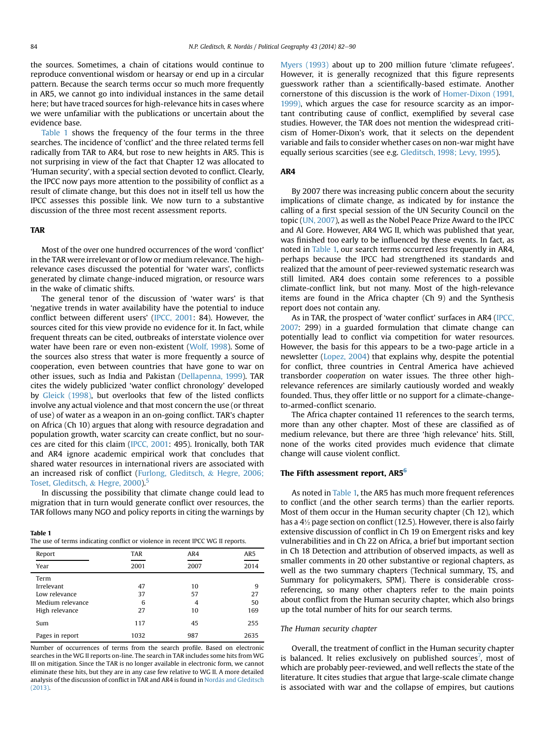the sources. Sometimes, a chain of citations would continue to reproduce conventional wisdom or hearsay or end up in a circular pattern. Because the search terms occur so much more frequently in AR5, we cannot go into individual instances in the same detail here; but have traced sources for high-relevance hits in cases where we were unfamiliar with the publications or uncertain about the evidence base.

Table 1 shows the frequency of the four terms in the three searches. The incidence of 'conflict' and the three related terms fell radically from TAR to AR4, but rose to new heights in AR5. This is not surprising in view of the fact that Chapter 12 was allocated to 'Human security', with a special section devoted to conflict. Clearly, the IPCC now pays more attention to the possibility of conflict as a result of climate change, but this does not in itself tell us how the IPCC assesses this possible link. We now turn to a substantive discussion of the three most recent assessment reports.

## TAR

Most of the over one hundred occurrences of the word 'conflict' in the TAR were irrelevant or of low or medium relevance. The highrelevance cases discussed the potential for 'water wars', conflicts generated by climate change-induced migration, or resource wars in the wake of climatic shifts.

The general tenor of the discussion of 'water wars' is that 'negative trends in water availability have the potential to induce conflict between different users' ([IPCC, 2001](#page-8-0): 84). However, the sources cited for this view provide no evidence for it. In fact, while frequent threats can be cited, outbreaks of interstate violence over water have been rare or even non-existent ([Wolf, 1998\)](#page-8-0). Some of the sources also stress that water is more frequently a source of cooperation, even between countries that have gone to war on other issues, such as India and Pakistan ([Dellapenna, 1999\)](#page-8-0). TAR cites the widely publicized 'water conflict chronology' developed by [Gleick \(1998\)](#page-8-0), but overlooks that few of the listed conflicts involve any actual violence and that most concern the use (or threat of use) of water as a weapon in an on-going conflict. TAR's chapter on Africa (Ch 10) argues that along with resource degradation and population growth, water scarcity can create conflict, but no sources are cited for this claim ([IPCC, 2001](#page-8-0): 495). Ironically, both TAR and AR4 ignore academic empirical work that concludes that shared water resources in international rivers are associated with an increased risk of conflict [\(Furlong, Gleditsch,](#page-8-0) & [Hegre, 2006;](#page-8-0) [Toset, Gleditsch,](#page-8-0) & [Hegre, 2000\)](#page-8-0).<sup>[5](#page-7-0)</sup>

In discussing the possibility that climate change could lead to migration that in turn would generate conflict over resources, the TAR follows many NGO and policy reports in citing the warnings by

#### Table 1

The use of terms indicating conflict or violence in recent IPCC WG II reports.

| Report           | <b>TAR</b> | AR4  | AR5  |
|------------------|------------|------|------|
| Year             | 2001       | 2007 | 2014 |
| Term             |            |      |      |
| Irrelevant       | 47         | 10   | 9    |
| Low relevance    | 37         | 57   | 27   |
| Medium relevance | 6          | 4    | 50   |
| High relevance   | 27         | 10   | 169  |
| Sum              | 117        | 45   | 255  |
| Pages in report  | 1032       | 987  | 2635 |

Number of occurrences of terms from the search profile. Based on electronic searches in the WG II reports on-line. The search in TAR includes some hits from WG III on mitigation. Since the TAR is no longer available in electronic form, we cannot eliminate these hits, but they are in any case few relative to WG II. A more detailed analysis of the discussion of conflict in TAR and AR4 is found in [Nordås and Gleditsch](#page-8-0) [\(2013\).](#page-8-0)

[Myers \(1993\)](#page-8-0) about up to 200 million future 'climate refugees'. However, it is generally recognized that this figure represents guesswork rather than a scientifically-based estimate. Another cornerstone of this discussion is the work of [Homer-Dixon \(1991,](#page-8-0) [1999\)](#page-8-0), which argues the case for resource scarcity as an important contributing cause of conflict, exemplified by several case studies. However, the TAR does not mention the widespread criticism of Homer-Dixon's work, that it selects on the dependent variable and fails to consider whether cases on non-war might have equally serious scarcities (see e.g. [Gleditsch, 1998; Levy, 1995](#page-8-0)).

## AR4

By 2007 there was increasing public concern about the security implications of climate change, as indicated by for instance the calling of a first special session of the UN Security Council on the topic [\(UN, 2007](#page-8-0)), as well as the Nobel Peace Prize Award to the IPCC and Al Gore. However, AR4 WG II, which was published that year, was finished too early to be influenced by these events. In fact, as noted in Table 1, our search terms occurred less frequently in AR4, perhaps because the IPCC had strengthened its standards and realized that the amount of peer-reviewed systematic research was still limited. AR4 does contain some references to a possible climate-conflict link, but not many. Most of the high-relevance items are found in the Africa chapter (Ch 9) and the Synthesis report does not contain any.

As in TAR, the prospect of 'water conflict' surfaces in AR4 [\(IPCC,](#page-8-0) [2007:](#page-8-0) 299) in a guarded formulation that climate change can potentially lead to conflict via competition for water resources. However, the basis for this appears to be a two-page article in a newsletter ([Lopez, 2004](#page-8-0)) that explains why, despite the potential for conflict, three countries in Central America have achieved transborder cooperation on water issues. The three other highrelevance references are similarly cautiously worded and weakly founded. Thus, they offer little or no support for a climate-changeto-armed-conflict scenario.

The Africa chapter contained 11 references to the search terms, more than any other chapter. Most of these are classified as of medium relevance, but there are three 'high relevance' hits. Still, none of the works cited provides much evidence that climate change will cause violent conflict.

### The Fifth assessment report, AR5<sup>[6](#page-7-0)</sup>

As noted in Table 1, the AR5 has much more frequent references to conflict (and the other search terms) than the earlier reports. Most of them occur in the Human security chapter (Ch 12), which has a 4½ page section on conflict (12.5). However, there is also fairly extensive discussion of conflict in Ch 19 on Emergent risks and key vulnerabilities and in Ch 22 on Africa, a brief but important section in Ch 18 Detection and attribution of observed impacts, as well as smaller comments in 20 other substantive or regional chapters, as well as the two summary chapters (Technical summary, TS, and Summary for policymakers, SPM). There is considerable crossreferencing, so many other chapters refer to the main points about conflict from the Human security chapter, which also brings up the total number of hits for our search terms.

#### The Human security chapter

Overall, the treatment of conflict in the Human security chapter is balanced. It relies exclusively on published sources<sup>[7](#page-7-0)</sup>, most of which are probably peer-reviewed, and well reflects the state of the literature. It cites studies that argue that large-scale climate change is associated with war and the collapse of empires, but cautions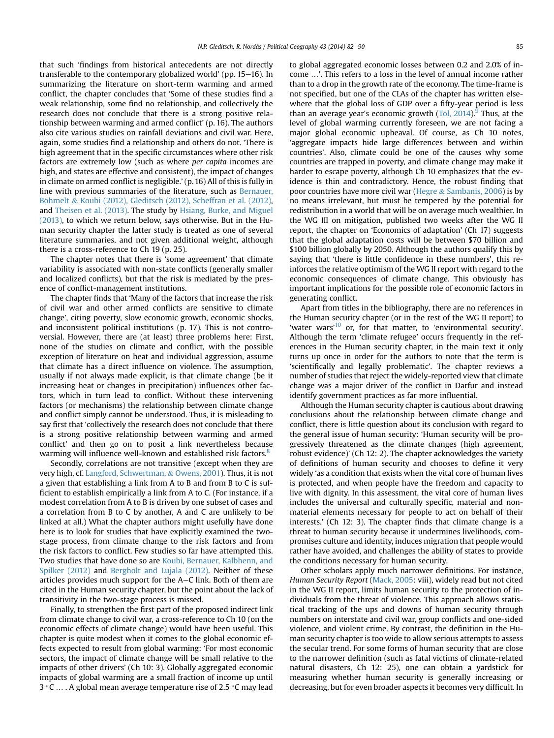that such 'findings from historical antecedents are not directly transferable to the contemporary globalized world' (pp.  $15-16$ ). In summarizing the literature on short-term warming and armed conflict, the chapter concludes that 'Some of these studies find a weak relationship, some find no relationship, and collectively the research does not conclude that there is a strong positive relationship between warming and armed conflict' (p. 16). The authors also cite various studies on rainfall deviations and civil war. Here, again, some studies find a relationship and others do not. 'There is high agreement that in the specific circumstances where other risk factors are extremely low (such as where per capita incomes are high, and states are effective and consistent), the impact of changes in climate on armed conflict is negligible.' (p. 16) All of this is fully in line with previous summaries of the literature, such as [Bernauer,](#page-7-0) Böhmelt & [Koubi \(2012\), Gleditsch \(2012\), Scheffran et al. \(2012\),](#page-7-0) and [Theisen et al. \(2013\).](#page-8-0) The study by [Hsiang, Burke, and Miguel](#page-8-0) [\(2013\),](#page-8-0) to which we return below, says otherwise. But in the Human security chapter the latter study is treated as one of several literature summaries, and not given additional weight, although there is a cross-reference to Ch 19 (p. 25).

The chapter notes that there is 'some agreement' that climate variability is associated with non-state conflicts (generally smaller and localized conflicts), but that the risk is mediated by the presence of conflict-management institutions.

The chapter finds that 'Many of the factors that increase the risk of civil war and other armed conflicts are sensitive to climate change', citing poverty, slow economic growth, economic shocks, and inconsistent political institutions (p. 17). This is not controversial. However, there are (at least) three problems here: First, none of the studies on climate and conflict, with the possible exception of literature on heat and individual aggression, assume that climate has a direct influence on violence. The assumption, usually if not always made explicit, is that climate change (be it increasing heat or changes in precipitation) influences other factors, which in turn lead to conflict. Without these intervening factors (or mechanisms) the relationship between climate change and conflict simply cannot be understood. Thus, it is misleading to say first that 'collectively the research does not conclude that there is a strong positive relationship between warming and armed conflict' and then go on to posit a link nevertheless because warming will influence well-known and established risk factors.<sup>[8](#page-7-0)</sup>

Secondly, correlations are not transitive (except when they are very high, cf. [Langford, Schwertman,](#page-8-0) & [Owens, 2001](#page-8-0)). Thus, it is not a given that establishing a link from A to B and from B to C is sufficient to establish empirically a link from A to C. (For instance, if a modest correlation from A to B is driven by one subset of cases and a correlation from B to C by another, A and C are unlikely to be linked at all.) What the chapter authors might usefully have done here is to look for studies that have explicitly examined the twostage process, from climate change to the risk factors and from the risk factors to conflict. Few studies so far have attempted this. Two studies that have done so are [Koubi, Bernauer, Kalbhenn, and](#page-8-0) [Spilker \(2012\)](#page-8-0) and [Bergholt and Lujala \(2012\).](#page-7-0) Neither of these articles provides much support for the  $A-C$  link. Both of them are cited in the Human security chapter, but the point about the lack of transitivity in the two-stage process is missed.

Finally, to strengthen the first part of the proposed indirect link from climate change to civil war, a cross-reference to Ch 10 (on the economic effects of climate change) would have been useful. This chapter is quite modest when it comes to the global economic effects expected to result from global warming: 'For most economic sectors, the impact of climate change will be small relative to the impacts of other drivers' (Ch 10: 3). Globally aggregated economic impacts of global warming are a small fraction of income up until 3 °C ... . A global mean average temperature rise of 2.5 °C may lead to global aggregated economic losses between 0.2 and 2.0% of income …'. This refers to a loss in the level of annual income rather than to a drop in the growth rate of the economy. The time-frame is not specified, but one of the CLAs of the chapter has written elsewhere that the global loss of GDP over a fifty-year period is less than an average year's economic growth  $(Tol, 2014)$  $(Tol, 2014)$ . Thus, at the level of global warming currently foreseen, we are not facing a major global economic upheaval. Of course, as Ch 10 notes, 'aggregate impacts hide large differences between and within countries'. Also, climate could be one of the causes why some countries are trapped in poverty, and climate change may make it harder to escape poverty, although Ch 10 emphasizes that the evidence is thin and contradictory. Hence, the robust finding that poor countries have more civil war ([Hegre](#page-8-0) & [Sambanis, 2006](#page-8-0)) is by no means irrelevant, but must be tempered by the potential for redistribution in a world that will be on average much wealthier. In the WG III on mitigation, published two weeks after the WG II report, the chapter on 'Economics of adaptation' (Ch 17) suggests that the global adaptation costs will be between \$70 billion and \$100 billion globally by 2050. Although the authors qualify this by saying that 'there is little confidence in these numbers', this reinforces the relative optimism of the WG II report with regard to the economic consequences of climate change. This obviously has important implications for the possible role of economic factors in generating conflict.

Apart from titles in the bibliography, there are no references in the Human security chapter (or in the rest of the WG II report) to 'water wars'<sup>[10](#page-7-0)</sup> or, for that matter, to 'environmental security'. Although the term 'climate refugee' occurs frequently in the references in the Human security chapter, in the main text it only turns up once in order for the authors to note that the term is 'scientifically and legally problematic'. The chapter reviews a number of studies that reject the widely-reported view that climate change was a major driver of the conflict in Darfur and instead identify government practices as far more influential.

Although the Human security chapter is cautious about drawing conclusions about the relationship between climate change and conflict, there is little question about its conclusion with regard to the general issue of human security: 'Human security will be progressively threatened as the climate changes (high agreement, robust evidence)' (Ch 12: 2). The chapter acknowledges the variety of definitions of human security and chooses to define it very widely 'as a condition that exists when the vital core of human lives is protected, and when people have the freedom and capacity to live with dignity. In this assessment, the vital core of human lives includes the universal and culturally specific, material and nonmaterial elements necessary for people to act on behalf of their interests.' (Ch 12: 3). The chapter finds that climate change is a threat to human security because it undermines livelihoods, compromises culture and identity, induces migration that people would rather have avoided, and challenges the ability of states to provide the conditions necessary for human security.

Other scholars apply much narrower definitions. For instance, Human Security Report ([Mack, 2005](#page-8-0): viii), widely read but not cited in the WG II report, limits human security to the protection of individuals from the threat of violence. This approach allows statistical tracking of the ups and downs of human security through numbers on interstate and civil war, group conflicts and one-sided violence, and violent crime. By contrast, the definition in the Human security chapter is too wide to allow serious attempts to assess the secular trend. For some forms of human security that are close to the narrower definition (such as fatal victims of climate-related natural disasters, Ch 12: 25), one can obtain a yardstick for measuring whether human security is generally increasing or decreasing, but for even broader aspects it becomes very difficult. In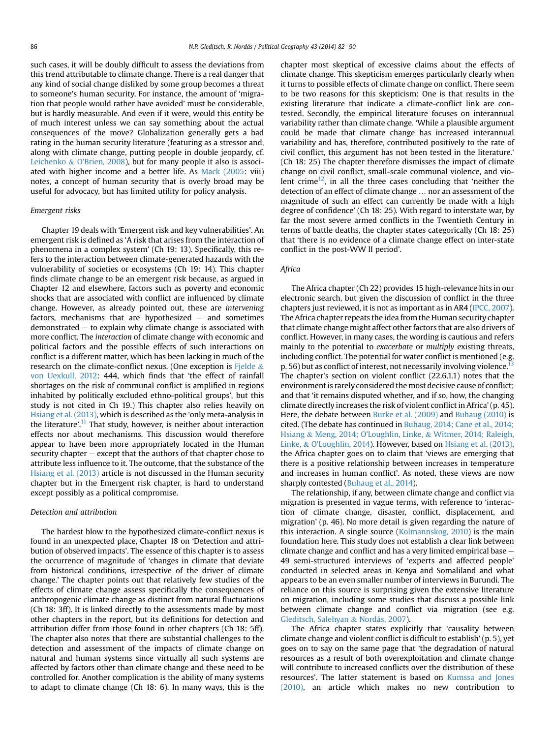such cases, it will be doubly difficult to assess the deviations from this trend attributable to climate change. There is a real danger that any kind of social change disliked by some group becomes a threat to someone's human security. For instance, the amount of 'migration that people would rather have avoided' must be considerable, but is hardly measurable. And even if it were, would this entity be of much interest unless we can say something about the actual consequences of the move? Globalization generally gets a bad rating in the human security literature (featuring as a stressor and, along with climate change, putting people in double jeopardy, cf. [Leichenko](#page-8-0) & [O'Brien, 2008\)](#page-8-0), but for many people it also is associated with higher income and a better life. As [Mack \(2005:](#page-8-0) viii) notes, a concept of human security that is overly broad may be useful for advocacy, but has limited utility for policy analysis.

### Emergent risks

Chapter 19 deals with 'Emergent risk and key vulnerabilities'. An emergent risk is defined as 'A risk that arises from the interaction of phenomena in a complex system' (Ch 19: 13). Specifically, this refers to the interaction between climate-generated hazards with the vulnerability of societies or ecosystems (Ch 19: 14). This chapter finds climate change to be an emergent risk because, as argued in Chapter 12 and elsewhere, factors such as poverty and economic shocks that are associated with conflict are influenced by climate change. However, as already pointed out, these are intervening factors, mechanisms that are hypothesized  $-$  and sometimes demonstrated  $-$  to explain why climate change is associated with more conflict. The interaction of climate change with economic and political factors and the possible effects of such interactions on conflict is a different matter, which has been lacking in much of the research on the climate-conflict nexus. (One exception is [Fjelde](#page-8-0)  $\&$ [von Uexkull, 2012](#page-8-0): 444, which finds that 'the effect of rainfall shortages on the risk of communal conflict is amplified in regions inhabited by politically excluded ethno-political groups', but this study is not cited in Ch 19.) This chapter also relies heavily on [Hsiang et al. \(2013\),](#page-8-0) which is described as the 'only meta-analysis in the literature'.<sup>[11](#page-7-0)</sup> That study, however, is neither about interaction effects nor about mechanisms. This discussion would therefore appear to have been more appropriately located in the Human security chapter  $-$  except that the authors of that chapter chose to attribute less influence to it. The outcome, that the substance of the [Hsiang et al. \(2013\)](#page-8-0) article is not discussed in the Human security chapter but in the Emergent risk chapter, is hard to understand except possibly as a political compromise.

## Detection and attribution

The hardest blow to the hypothesized climate-conflict nexus is found in an unexpected place, Chapter 18 on 'Detection and attribution of observed impacts'. The essence of this chapter is to assess the occurrence of magnitude of 'changes in climate that deviate from historical conditions, irrespective of the driver of climate change.' The chapter points out that relatively few studies of the effects of climate change assess specifically the consequences of anthropogenic climate change as distinct from natural fluctuations (Ch 18: 3ff). It is linked directly to the assessments made by most other chapters in the report, but its definitions for detection and attribution differ from those found in other chapters (Ch 18: 5ff). The chapter also notes that there are substantial challenges to the detection and assessment of the impacts of climate change on natural and human systems since virtually all such systems are affected by factors other than climate change and these need to be controlled for. Another complication is the ability of many systems to adapt to climate change (Ch 18: 6). In many ways, this is the chapter most skeptical of excessive claims about the effects of climate change. This skepticism emerges particularly clearly when it turns to possible effects of climate change on conflict. There seem to be two reasons for this skepticism: One is that results in the existing literature that indicate a climate-conflict link are contested. Secondly, the empirical literature focuses on interannual variability rather than climate change. 'While a plausible argument could be made that climate change has increased interannual variability and has, therefore, contributed positively to the rate of civil conflict, this argument has not been tested in the literature.' (Ch 18: 25) The chapter therefore dismisses the impact of climate change on civil conflict, small-scale communal violence, and violent crime<sup>12</sup>, in all the three cases concluding that 'neither the detection of an effect of climate change … nor an assessment of the magnitude of such an effect can currently be made with a high degree of confidence' (Ch 18: 25). With regard to interstate war, by far the most severe armed conflicts in the Twentieth Century in terms of battle deaths, the chapter states categorically (Ch 18: 25) that 'there is no evidence of a climate change effect on inter-state conflict in the post-WW II period'.

# Africa

The Africa chapter (Ch 22) provides 15 high-relevance hits in our electronic search, but given the discussion of conflict in the three chapters just reviewed, it is not as important as in AR4 [\(IPCC, 2007\)](#page-8-0). The Africa chapter repeats the idea from the Human security chapter that climate change might affect other factors that are also drivers of conflict. However, in many cases, the wording is cautious and refers mainly to the potential to exacerbate or multiply existing threats, including conflict. The potential for water conflict is mentioned (e.g. p. 56) but as conflict of interest, not necessarily involving violence. The chapter's section on violent conflict (22.6.1.1) notes that the environment is rarely considered the most decisive cause of conflict; and that 'it remains disputed whether, and if so, how, the changing climate directly increases the risk of violent conflict in Africa'(p. 45). Here, the debate between [Burke et al. \(2009\)](#page-7-0) and [Buhaug \(2010\)](#page-7-0) is cited. (The debate has continued in [Buhaug, 2014; Cane et al., 2014;](#page-7-0) [Hsiang](#page-7-0) & [Meng, 2014; O'Loughlin, Linke,](#page-7-0) & [Witmer, 2014; Raleigh,](#page-7-0) [Linke,](#page-7-0) & [O'Loughlin, 2014\)](#page-7-0). However, based on [Hsiang et al. \(2013\),](#page-8-0) the Africa chapter goes on to claim that 'views are emerging that there is a positive relationship between increases in temperature and increases in human conflict'. As noted, these views are now sharply contested [\(Buhaug et al., 2014\)](#page-7-0).

The relationship, if any, between climate change and conflict via migration is presented in vague terms, with reference to 'interaction of climate change, disaster, conflict, displacement, and migration' (p. 46). No more detail is given regarding the nature of this interaction. A single source [\(Kolmannskog, 2010](#page-8-0)) is the main foundation here. This study does not establish a clear link between climate change and conflict and has a very limited empirical base  $-$ 49 semi-structured interviews of 'experts and affected people' conducted in selected areas in Kenya and Somaliland and what appears to be an even smaller number of interviews in Burundi. The reliance on this source is surprising given the extensive literature on migration, including some studies that discuss a possible link between climate change and conflict via migration (see e.g. [Gleditsch, Salehyan](#page-8-0) & [Nordås, 2007\)](#page-8-0).

The Africa chapter states explicitly that 'causality between climate change and violent conflict is difficult to establish' (p. 5), yet goes on to say on the same page that 'the degradation of natural resources as a result of both overexploitation and climate change will contribute to increased conflicts over the distribution of these resources'. The latter statement is based on [Kumssa and Jones](#page-8-0) [\(2010\)](#page-8-0), an article which makes no new contribution to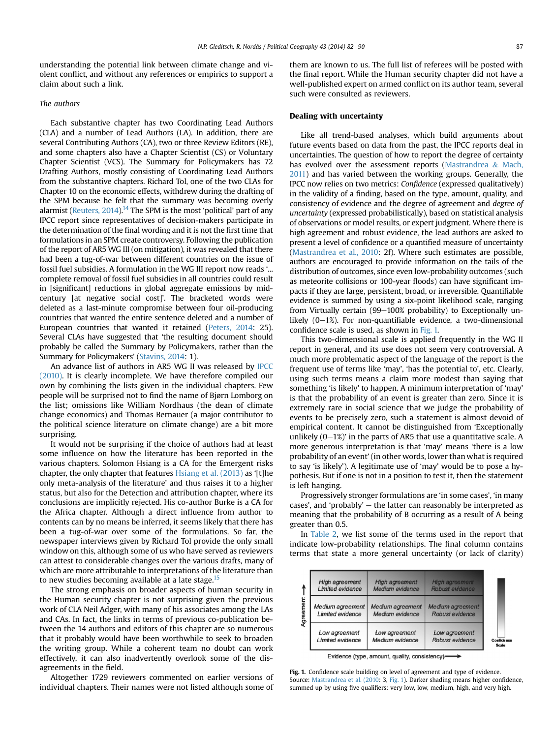understanding the potential link between climate change and violent conflict, and without any references or empirics to support a claim about such a link.

# The authors

Each substantive chapter has two Coordinating Lead Authors (CLA) and a number of Lead Authors (LA). In addition, there are several Contributing Authors (CA), two or three Review Editors (RE), and some chapters also have a Chapter Scientist (CS) or Voluntary Chapter Scientist (VCS). The Summary for Policymakers has 72 Drafting Authors, mostly consisting of Coordinating Lead Authors from the substantive chapters. Richard Tol, one of the two CLAs for Chapter 10 on the economic effects, withdrew during the drafting of the SPM because he felt that the summary was becoming overly alarmist (Reuters,  $2014$ ).<sup>14</sup> The SPM is the most 'political' part of any IPCC report since representatives of decision-makers participate in the determination of the final wording and it is not the first time that formulations in an SPM create controversy. Following the publication of the report of AR5 WG III (on mitigation), it was revealed that there had been a tug-of-war between different countries on the issue of fossil fuel subsidies. A formulation in the WG III report now reads '... complete removal of fossil fuel subsidies in all countries could result in [significant] reductions in global aggregate emissions by midcentury [at negative social cost]'. The bracketed words were deleted as a last-minute compromise between four oil-producing countries that wanted the entire sentence deleted and a number of European countries that wanted it retained [\(Peters, 2014:](#page-8-0) 25). Several CLAs have suggested that 'the resulting document should probably be called the Summary by Policymakers, rather than the Summary for Policymakers' [\(Stavins, 2014](#page-8-0): 1).

An advance list of authors in AR5 WG II was released by [IPCC](#page-8-0) [\(2010\).](#page-8-0) It is clearly incomplete. We have therefore compiled our own by combining the lists given in the individual chapters. Few people will be surprised not to find the name of Bjørn Lomborg on the list; omissions like William Nordhaus (the dean of climate change economics) and Thomas Bernauer (a major contributor to the political science literature on climate change) are a bit more surprising.

It would not be surprising if the choice of authors had at least some influence on how the literature has been reported in the various chapters. Solomon Hsiang is a CA for the Emergent risks chapter, the only chapter that features [Hsiang et al. \(2013\)](#page-8-0) as '[t]he only meta-analysis of the literature' and thus raises it to a higher status, but also for the Detection and attribution chapter, where its conclusions are implicitly rejected. His co-author Burke is a CA for the Africa chapter. Although a direct influence from author to contents can by no means be inferred, it seems likely that there has been a tug-of-war over some of the formulations. So far, the newspaper interviews given by Richard Tol provide the only small window on this, although some of us who have served as reviewers can attest to considerable changes over the various drafts, many of which are more attributable to interpretations of the literature than to new studies becoming available at a late stage.<sup>15</sup>

The strong emphasis on broader aspects of human security in the Human security chapter is not surprising given the previous work of CLA Neil Adger, with many of his associates among the LAs and CAs. In fact, the links in terms of previous co-publication between the 14 authors and editors of this chapter are so numerous that it probably would have been worthwhile to seek to broaden the writing group. While a coherent team no doubt can work effectively, it can also inadvertently overlook some of the disagreements in the field.

Altogether 1729 reviewers commented on earlier versions of individual chapters. Their names were not listed although some of them are known to us. The full list of referees will be posted with the final report. While the Human security chapter did not have a well-published expert on armed conflict on its author team, several such were consulted as reviewers.

## Dealing with uncertainty

Like all trend-based analyses, which build arguments about future events based on data from the past, the IPCC reports deal in uncertainties. The question of how to report the degree of certainty has evolved over the assessment reports [\(Mastrandrea](#page-8-0) & [Mach,](#page-8-0) [2011\)](#page-8-0) and has varied between the working groups. Generally, the IPCC now relies on two metrics: Confidence (expressed qualitatively) in the validity of a finding, based on the type, amount, quality, and consistency of evidence and the degree of agreement and degree of uncertainty (expressed probabilistically), based on statistical analysis of observations or model results, or expert judgment. Where there is high agreement and robust evidence, the lead authors are asked to present a level of confidence or a quantified measure of uncertainty [\(Mastrandrea et al., 2010:](#page-8-0) 2f). Where such estimates are possible, authors are encouraged to provide information on the tails of the distribution of outcomes, since even low-probability outcomes (such as meteorite collisions or 100-year floods) can have significant impacts if they are large, persistent, broad, or irreversible. Quantifiable evidence is summed by using a six-point likelihood scale, ranging from Virtually certain (99-100% probability) to Exceptionally unlikely  $(0-1%)$ . For non-quantifiable evidence, a two-dimensional confidence scale is used, as shown in Fig. 1.

This two-dimensional scale is applied frequently in the WG II report in general, and its use does not seem very controversial. A much more problematic aspect of the language of the report is the frequent use of terms like 'may', 'has the potential to', etc. Clearly, using such terms means a claim more modest than saying that something 'is likely' to happen. A minimum interpretation of 'may' is that the probability of an event is greater than zero. Since it is extremely rare in social science that we judge the probability of events to be precisely zero, such a statement is almost devoid of empirical content. It cannot be distinguished from 'Exceptionally unlikely  $(0-1\%)'$  in the parts of AR5 that use a quantitative scale. A more generous interpretation is that 'may' means 'there is a low probability of an event' (in other words, lower than what is required to say 'is likely'). A legitimate use of 'may' would be to pose a hypothesis. But if one is not in a position to test it, then the statement is left hanging.

Progressively stronger formulations are 'in some cases', 'in many cases', and 'probably'  $-$  the latter can reasonably be interpreted as meaning that the probability of B occurring as a result of A being greater than 0.5.

In [Table 2](#page-6-0), we list some of the terms used in the report that indicate low-probability relationships. The final column contains terms that state a more general uncertainty (or lack of clarity)



Evidence (type, amount, quality, consistency)

Fig. 1. Confidence scale building on level of agreement and type of evidence. Source: [Mastrandrea et al. \(2010](#page-8-0): 3, Fig. 1). Darker shading means higher confidence, summed up by using five qualifiers: very low, low, medium, high, and very high.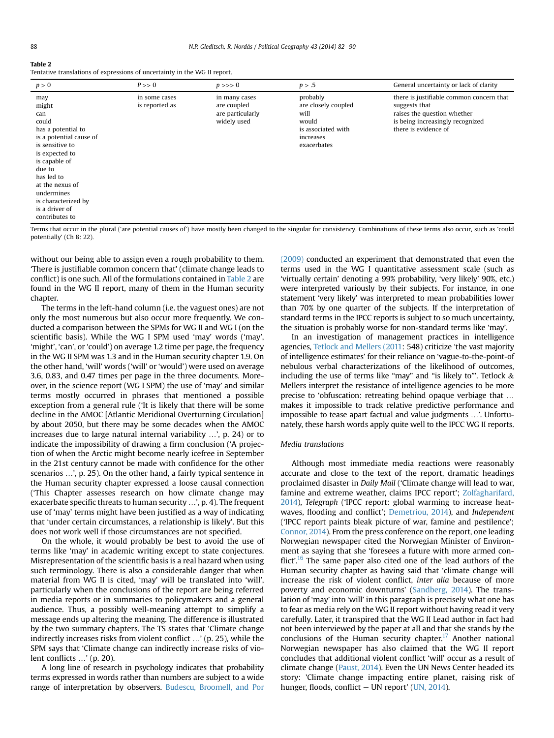#### <span id="page-6-0"></span>Table 2

Tentative translations of expressions of uncertainty in the WG II report.

| p > 0                                                                                                                                                                                                                                                   | P >> 0                          | $p \gg > 0$                                                     | p > .5                                                                                             | General uncertainty or lack of clarity                                                                                                               |
|---------------------------------------------------------------------------------------------------------------------------------------------------------------------------------------------------------------------------------------------------------|---------------------------------|-----------------------------------------------------------------|----------------------------------------------------------------------------------------------------|------------------------------------------------------------------------------------------------------------------------------------------------------|
| may<br>might<br>can<br>could<br>has a potential to<br>is a potential cause of<br>is sensitive to<br>is expected to<br>is capable of<br>due to<br>has led to<br>at the nexus of<br>undermines<br>is characterized by<br>is a driver of<br>contributes to | in some cases<br>is reported as | in many cases<br>are coupled<br>are particularly<br>widely used | probably<br>are closely coupled<br>will<br>would<br>is associated with<br>increases<br>exacerbates | there is justifiable common concern that<br>suggests that<br>raises the question whether<br>is being increasingly recognized<br>there is evidence of |

Terms that occur in the plural ('are potential causes of') have mostly been changed to the singular for consistency. Combinations of these terms also occur, such as 'could potentially' (Ch 8: 22).

without our being able to assign even a rough probability to them. 'There is justifiable common concern that' (climate change leads to conflict) is one such. All of the formulations contained in Table 2 are found in the WG II report, many of them in the Human security chapter.

The terms in the left-hand column (i.e. the vaguest ones) are not only the most numerous but also occur more frequently. We conducted a comparison between the SPMs for WG II and WG I (on the scientific basis). While the WG I SPM used 'may' words ('may', 'might', 'can', or 'could') on average 1.2 time per page, the frequency in the WG II SPM was 1.3 and in the Human security chapter 1.9. On the other hand, 'will' words ('will' or 'would') were used on average 3.6, 0.83, and 0.47 times per page in the three documents. Moreover, in the science report (WG I SPM) the use of 'may' and similar terms mostly occurred in phrases that mentioned a possible exception from a general rule ('It is likely that there will be some decline in the AMOC [Atlantic Meridional Overturning Circulation] by about 2050, but there may be some decades when the AMOC increases due to large natural internal variability …', p. 24) or to indicate the impossibility of drawing a firm conclusion ('A projection of when the Arctic might become nearly icefree in September in the 21st century cannot be made with confidence for the other scenarios …', p. 25). On the other hand, a fairly typical sentence in the Human security chapter expressed a loose causal connection ('This Chapter assesses research on how climate change may exacerbate specific threats to human security …', p. 4). The frequent use of 'may' terms might have been justified as a way of indicating that 'under certain circumstances, a relationship is likely'. But this does not work well if those circumstances are not specified.

On the whole, it would probably be best to avoid the use of terms like 'may' in academic writing except to state conjectures. Misrepresentation of the scientific basis is a real hazard when using such terminology. There is also a considerable danger that when material from WG II is cited, 'may' will be translated into 'will', particularly when the conclusions of the report are being referred in media reports or in summaries to policymakers and a general audience. Thus, a possibly well-meaning attempt to simplify a message ends up altering the meaning. The difference is illustrated by the two summary chapters. The TS states that 'Climate change indirectly increases risks from violent conflict …' (p. 25), while the SPM says that 'Climate change can indirectly increase risks of violent conflicts …' (p. 20).

A long line of research in psychology indicates that probability terms expressed in words rather than numbers are subject to a wide range of interpretation by observers. [Budescu, Broomell, and Por](#page-7-0) [\(2009\)](#page-7-0) conducted an experiment that demonstrated that even the terms used in the WG I quantitative assessment scale (such as 'virtually certain' denoting a 99% probability, 'very likely' 90%, etc.) were interpreted variously by their subjects. For instance, in one statement 'very likely' was interpreted to mean probabilities lower than 70% by one quarter of the subjects. If the interpretation of standard terms in the IPCC reports is subject to so much uncertainty, the situation is probably worse for non-standard terms like 'may'.

In an investigation of management practices in intelligence agencies, [Tetlock and Mellers \(2011](#page-8-0): 548) criticize 'the vast majority of intelligence estimates' for their reliance on 'vague-to-the-point-of nebulous verbal characterizations of the likelihood of outcomes, including the use of terms like "may" and "is likely to"'. Tetlock  $\&$ Mellers interpret the resistance of intelligence agencies to be more precise to 'obfuscation: retreating behind opaque verbiage that … makes it impossible to track relative predictive performance and impossible to tease apart factual and value judgments …'. Unfortunately, these harsh words apply quite well to the IPCC WG II reports.

## Media translations

Although most immediate media reactions were reasonably accurate and close to the text of the report, dramatic headings proclaimed disaster in Daily Mail ('Climate change will lead to war, famine and extreme weather, claims IPCC report'; [Zolfagharifard,](#page-8-0) [2014\)](#page-8-0), Telegraph ('IPCC report: global warming to increase heatwaves, flooding and conflict'; [Demetriou, 2014](#page-8-0)), and Independent ('IPCC report paints bleak picture of war, famine and pestilence'; [Connor, 2014\)](#page-7-0). From the press conference on the report, one leading Norwegian newspaper cited the Norwegian Minister of Environment as saying that she 'foresees a future with more armed con-flict'.<sup>[16](#page-7-0)</sup> The same paper also cited one of the lead authors of the Human security chapter as having said that 'climate change will increase the risk of violent conflict, inter alia because of more poverty and economic downturns' ([Sandberg, 2014](#page-8-0)). The translation of 'may' into 'will' in this paragraph is precisely what one has to fear as media rely on the WG II report without having read it very carefully. Later, it transpired that the WG II Lead author in fact had not been interviewed by the paper at all and that she stands by the conclusions of the Human security chapter.<sup>17</sup> Another national Norwegian newspaper has also claimed that the WG II report concludes that additional violent conflict 'will' occur as a result of climate change [\(Paust, 2014\)](#page-8-0). Even the UN News Center headed its story: 'Climate change impacting entire planet, raising risk of hunger, floods, conflict  $-$  UN report' ([UN, 2014\)](#page-8-0).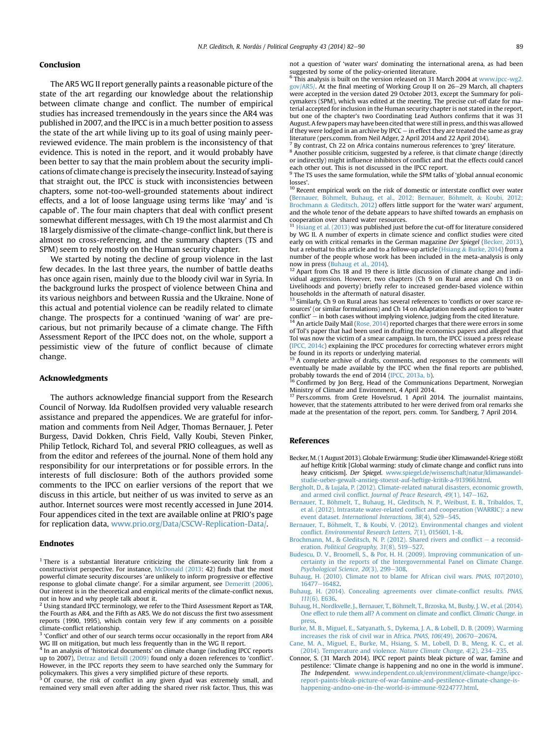## <span id="page-7-0"></span>Conclusion

The AR5 WG II report generally paints a reasonable picture of the state of the art regarding our knowledge about the relationship between climate change and conflict. The number of empirical studies has increased tremendously in the years since the AR4 was published in 2007, and the IPCC is in a much better position to assess the state of the art while living up to its goal of using mainly peerreviewed evidence. The main problem is the inconsistency of that evidence. This is noted in the report, and it would probably have been better to say that the main problem about the security implications of climate change is precisely the insecurity. Instead of saying that straight out, the IPCC is stuck with inconsistencies between chapters, some not-too-well-grounded statements about indirect effects, and a lot of loose language using terms like 'may' and 'is capable of'. The four main chapters that deal with conflict present somewhat different messages, with Ch 19 the most alarmist and Ch 18 largely dismissive of the climate-change-conflict link, but there is almost no cross-referencing, and the summary chapters (TS and SPM) seem to rely mostly on the Human security chapter.

We started by noting the decline of group violence in the last few decades. In the last three years, the number of battle deaths has once again risen, mainly due to the bloody civil war in Syria. In the background lurks the prospect of violence between China and its various neighbors and between Russia and the Ukraine. None of this actual and potential violence can be readily related to climate change. The prospects for a continued 'waning of war' are precarious, but not primarily because of a climate change. The Fifth Assessment Report of the IPCC does not, on the whole, support a pessimistic view of the future of conflict because of climate change.

## Acknowledgments

The authors acknowledge financial support from the Research Council of Norway. Ida Rudolfsen provided very valuable research assistance and prepared the appendices. We are grateful for information and comments from Neil Adger, Thomas Bernauer, J. Peter Burgess, David Dokken, Chris Field, Vally Koubi, Steven Pinker, Philip Tetlock, Richard Tol, and several PRIO colleagues, as well as from the editor and referees of the journal. None of them hold any responsibility for our interpretations or for possible errors. In the interests of full disclosure: Both of the authors provided some comments to the IPCC on earlier versions of the report that we discuss in this article, but neither of us was invited to serve as an author. Internet sources were most recently accessed in June 2014. Four appendices cited in the text are available online at PRIO's page for replication data, [www.prio.org/Data/CSCW-Replication-Data/.](http://www.prio.org/Data/CSCW-Replication-Data/)

## Endnotes

 $1$  There is a substantial literature criticizing the climate-security link from a constructivist perspective. For instance, [McDonald \(2013:](#page-8-0) 42) finds that the most powerful climate security discourses 'are unlikely to inform progressive or effective response to global climate change'. For a similar argument, see [Demeritt \(2006\)](#page-8-0). Our interest is in the theoretical and empirical merits of the climate-conflict nexus, not in how and why people talk about it.<br><sup>2</sup> Using standard IPCC terminology, we refer to the Third Assessment Report as TAR,

the Fourth as AR4, and the Fifth as AR5. We do not discuss the first two assessment reports (1990, 1995), which contain very few if any comments on a possible climate-conflict relationship.  $3$  'Conflict' and other of our search terms occur occasionally in the report from AR4

<sup>4</sup> In an analysis of 'historical documents' on climate change (including IPCC reports up to 2007), [Detraz and Betsill \(2009\)](#page-8-0) found only a dozen references to 'conflict'. However, in the IPCC reports they seem to have searched only the Summary for policymakers. This gives a very simplified picture of these reports. <sup>5</sup> Of course, the risk of conflict in any given dyad was extremely small, and

remained very small even after adding the shared river risk factor. Thus, this was

not a question of 'water wars' dominating the international arena, as had been suggested by some of the policy-oriented literature.

This analysis is built on the version released on 31 March 2004 at [www.ipcc-wg2.](http://www.ipcc-wg2.gov/AR5/) [gov/AR5/](http://www.ipcc-wg2.gov/AR5/). At the final meeting of Working Group II on 26–29 March, all chapters were accepted in the version dated 29 October 2013, except the Summary for policymakers (SPM), which was edited at the meeting. The precise cut-off date for material accepted for inclusion in the Human security chapter is not stated in the report, but one of the chapter's two Coordinating Lead Authors confirms that it was 31 August. A few papers may have been cited that were still in press, and this was allowed if they were lodged in an archive by IPCC  $-$  in effect they are treated the same as gray literature (pers.comm. from Neil Adger, 2 April 2014 and 22 April 2014).<br><sup>7</sup> By contrast. Ch 22 on Africa contains numerous references to 'grey' literature.

 $8$  Another possible criticism, suggested by a referee, is that climate change (directly

or indirectly) might influence inhibitors of conflict and that the effects could cancel each other out. This is not discussed in the IPCC report.

<sup>9</sup> The TS uses the same formulation, while the SPM talks of 'global annual economic losses'

10 Recent empirical work on the risk of domestic or interstate conflict over water (Bernauer, Böhmelt, Buhaug, et al., 2012; Bernauer, Böhmelt, & Koubi, 2012;<br>Brochmann & Gleditsch, 2012**) offers little support for the 'water wars' argument**, and the whole tenor of the debate appears to have shifted towards an emphasis on cooperation over shared water resources.

[Hsiang et al. \(2013\)](#page-8-0) was published just before the cut-off for literature considered by WG II. A number of experts in climate science and conflict studies were cited early on with critical remarks in the German magazine Der Spiegel (Becker, 2013), but a rebuttal to this article and to a follow-up article ([Hsiang](#page-8-0) & [Burke, 2014\)](#page-8-0) from a number of the people whose work has been included in the meta-analysis is only now in press (Buhaug et al., 2014).

now in press (Buhaug et al., 2014).<br><sup>12</sup> Apart from Chs 18 and 19 there is little discussion of climate change and individual aggression. However, two chapters (Ch 9 on Rural areas and Ch 13 on Livelihoods and poverty) briefly refer to increased gender-based violence within households in the aftermath of natural disaster.

<sup>13</sup> Similarly, Ch 9 on Rural areas has several references to 'conflicts or over scarce resources' (or similar formulations) and Ch 14 on Adaptation needs and option to 'water conflict'  $\dot{=}$  in both cases without implying violence, judging from the cited literature.<br><sup>14</sup> An article Daily Mail [\(Rose, 2014](#page-8-0)) reported charges that there were errors in some

of Tol's paper that had been used in drafting the economics papers and alleged that Tol was now the victim of a smear campaign. In turn, the IPCC issued a press release ([IPCC, 2014c\)](#page-8-0) explaining the IPCC procedures for correcting whatever errors might be found in its reports or underlying material.

 $15$  A complete archive of drafts, comments, and responses to the comments will eventually be made available by the IPCC when the final reports are published, probably towards the end of 2014 (IPCC, 2013a, b).

Confirmed by Jon Berg, Head of the Communications Department, Norwegian Ministry of Climate and Environment, 4 April 2014.

 $17$  Pers.comms. from Grete Hovelsrud, 1 April 2014. The journalist maintains, however, that the statements attributed to her were derived from oral remarks she made at the presentation of the report, pers. comm. Tor Sandberg, 7 April 2014.

#### References

- Becker, M. (1 August 2013). Globale Erwärmung: Studie über Klimawandel-Kriege stößt auf heftige Kritik [Global warming: study of climate change and conflict runs into heavy criticism]. Der Spiegel. [www.spiegel.de/wissenschaft/natur/klimawandel](http://www.spiegel.de/wissenschaft/natur/klimawandel-studie-ueber-gewalt-anstieg-stoesst-auf-heftige-kritik-a-913966.html)[studie-ueber-gewalt-anstieg-stoesst-auf-heftige-kritik-a-913966.html.](http://www.spiegel.de/wissenschaft/natur/klimawandel-studie-ueber-gewalt-anstieg-stoesst-auf-heftige-kritik-a-913966.html)
- [Bergholt, D., & Lujala, P. \(2012\). Climate-related natural disasters, economic growth,](http://refhub.elsevier.com/S0962-6298(14)00079-1/sref2) and armed civil conflict. Journal of Peace Research,  $49(1)$ ,  $147-162$ .
- Bernauer, T., Böhmelt, T., Buhaug, H., Gleditsch, N. P., Weibust, E. B., Tribaldos, T., [et al. \(2012\). Intrastate water-related con](http://refhub.elsevier.com/S0962-6298(14)00079-1/sref3)flict and cooperation (WARRIC): a new event dataset. [International Interactions, 38](http://refhub.elsevier.com/S0962-6298(14)00079-1/sref3)(4), 529-[545.](http://refhub.elsevier.com/S0962-6298(14)00079-1/sref3)
- [Bernauer, T., B](http://refhub.elsevier.com/S0962-6298(14)00079-1/sref4)ö[hmelt, T., & Koubi, V. \(2012\). Environmental changes and violent](http://refhub.elsevier.com/S0962-6298(14)00079-1/sref4) conflict. [Environmental Research Letters, 7](http://refhub.elsevier.com/S0962-6298(14)00079-1/sref4)(1), 015601, 1-8.
- [Brochmann, M., & Gleditsch, N. P. \(2012\). Shared rivers and con](http://refhub.elsevier.com/S0962-6298(14)00079-1/sref5)flict  $-$  [a reconsid-](http://refhub.elsevier.com/S0962-6298(14)00079-1/sref5)eration. [Political Geography, 31](http://refhub.elsevier.com/S0962-6298(14)00079-1/sref5)(8), 519-[527.](http://refhub.elsevier.com/S0962-6298(14)00079-1/sref5)
- [Budescu, D. V., Broomell, S., & Por, H. H. \(2009\). Improving communication of un](http://refhub.elsevier.com/S0962-6298(14)00079-1/sref6)[certainty in the reports of the Intergovernmental Panel on Climate Change.](http://refhub.elsevier.com/S0962-6298(14)00079-1/sref6) [Psychological Science, 20](http://refhub.elsevier.com/S0962-6298(14)00079-1/sref6)(3), 299-[308.](http://refhub.elsevier.com/S0962-6298(14)00079-1/sref6)
- [Buhaug, H. \(2010\). Climate not to blame for African civil wars.](http://refhub.elsevier.com/S0962-6298(14)00079-1/sref7) PNAS, 107(2010), [16477](http://refhub.elsevier.com/S0962-6298(14)00079-1/sref7)-[16482](http://refhub.elsevier.com/S0962-6298(14)00079-1/sref7).
- [Buhaug, H. \(2014\). Concealing agreements over climate-con](http://refhub.elsevier.com/S0962-6298(14)00079-1/sref8)flict results. PNAS, 111[\(6\). E636.](http://refhub.elsevier.com/S0962-6298(14)00079-1/sref8)
- Buhaug, H., Nordkvelle, J., Bernauer, T., Böhmelt, T., Brzoska, M., Busby, J. W., et al. (2014). [One effect to rule them all? A comment on climate and con](http://refhub.elsevier.com/S0962-6298(14)00079-1/sref9)flict. Climatic Change. in [press.](http://refhub.elsevier.com/S0962-6298(14)00079-1/sref9)
- [Burke, M. B., Miguel, E., Satyanath, S., Dykema, J. A., & Lobell, D. B. \(2009\). Warming](http://refhub.elsevier.com/S0962-6298(14)00079-1/sref10) [increases the risk of civil war in Africa.](http://refhub.elsevier.com/S0962-6298(14)00079-1/sref10) PNAS,  $106(49)$ ,  $20670-20674$ .
- [Cane, M. A., Miguel, E., Burke, M., Hsiang, S. M., Lobell, D. B., Meng, K. C., et al.](http://refhub.elsevier.com/S0962-6298(14)00079-1/sref11) [\(2014\). Temperature and violence.](http://refhub.elsevier.com/S0962-6298(14)00079-1/sref11) Nature Climate Change,  $4(2)$ , 234-[235](http://refhub.elsevier.com/S0962-6298(14)00079-1/sref11).
- Connor, S. (31 March 2014). IPCC report paints bleak picture of war, famine and pestilence: 'Climate change is happening and no one in the world is immune'. The Independent. [www.independent.co.uk/environment/climate-change/ipcc](http://www.independent.co.uk/environment/climate-change/ipcc-report-paints-bleak-picture-of-war-famine-and-pestilence-climate-change-is-happening-andno-one-in-the-world-is-immune-9224777.html)[report-paints-bleak-picture-of-war-famine-and-pestilence-climate-change-is](http://www.independent.co.uk/environment/climate-change/ipcc-report-paints-bleak-picture-of-war-famine-and-pestilence-climate-change-is-happening-andno-one-in-the-world-is-immune-9224777.html)[happening-andno-one-in-the-world-is-immune-9224777.html.](http://www.independent.co.uk/environment/climate-change/ipcc-report-paints-bleak-picture-of-war-famine-and-pestilence-climate-change-is-happening-andno-one-in-the-world-is-immune-9224777.html)

WG III on mitigation, but much less frequently than in the WG II report.